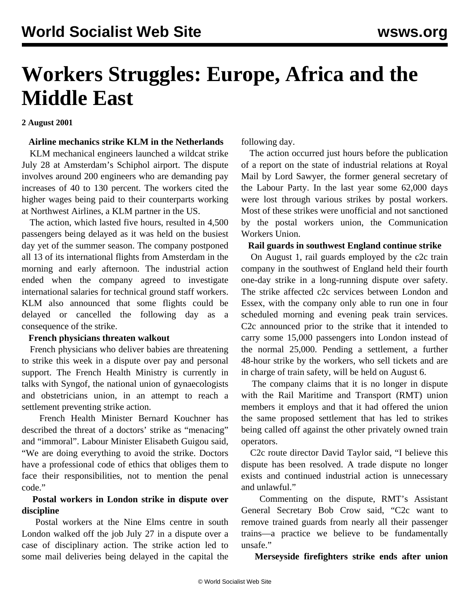# **Workers Struggles: Europe, Africa and the Middle East**

**2 August 2001**

#### **Airline mechanics strike KLM in the Netherlands**

 KLM mechanical engineers launched a wildcat strike July 28 at Amsterdam's Schiphol airport. The dispute involves around 200 engineers who are demanding pay increases of 40 to 130 percent. The workers cited the higher wages being paid to their counterparts working at Northwest Airlines, a KLM partner in the US.

 The action, which lasted five hours, resulted in 4,500 passengers being delayed as it was held on the busiest day yet of the summer season. The company postponed all 13 of its international flights from Amsterdam in the morning and early afternoon. The industrial action ended when the company agreed to investigate international salaries for technical ground staff workers. KLM also announced that some flights could be delayed or cancelled the following day as a consequence of the strike.

#### **French physicians threaten walkout**

 French physicians who deliver babies are threatening to strike this week in a dispute over pay and personal support. The French Health Ministry is currently in talks with Syngof, the national union of gynaecologists and obstetricians union, in an attempt to reach a settlement preventing strike action.

 French Health Minister Bernard Kouchner has described the threat of a doctors' strike as "menacing" and "immoral". Labour Minister Elisabeth Guigou said, "We are doing everything to avoid the strike. Doctors have a professional code of ethics that obliges them to face their responsibilities, not to mention the penal code."

### **Postal workers in London strike in dispute over discipline**

 Postal workers at the Nine Elms centre in south London walked off the job July 27 in a dispute over a case of disciplinary action. The strike action led to some mail deliveries being delayed in the capital the following day.

 The action occurred just hours before the publication of a report on the state of industrial relations at Royal Mail by Lord Sawyer, the former general secretary of the Labour Party. In the last year some 62,000 days were lost through various strikes by postal workers. Most of these strikes were unofficial and not sanctioned by the postal workers union, the Communication Workers Union.

#### **Rail guards in southwest England continue strike**

 On August 1, rail guards employed by the c2c train company in the southwest of England held their fourth one-day strike in a long-running dispute over safety. The strike affected c2c services between London and Essex, with the company only able to run one in four scheduled morning and evening peak train services. C2c announced prior to the strike that it intended to carry some 15,000 passengers into London instead of the normal 25,000. Pending a settlement, a further 48-hour strike by the workers, who sell tickets and are in charge of train safety, will be held on August 6.

 The company claims that it is no longer in dispute with the Rail Maritime and Transport (RMT) union members it employs and that it had offered the union the same proposed settlement that has led to strikes being called off against the other privately owned train operators.

 C2c route director David Taylor said, "I believe this dispute has been resolved. A trade dispute no longer exists and continued industrial action is unnecessary and unlawful."

 Commenting on the dispute, RMT's Assistant General Secretary Bob Crow said, "C2c want to remove trained guards from nearly all their passenger trains—a practice we believe to be fundamentally unsafe."

#### **Merseyside firefighters strike ends after union**